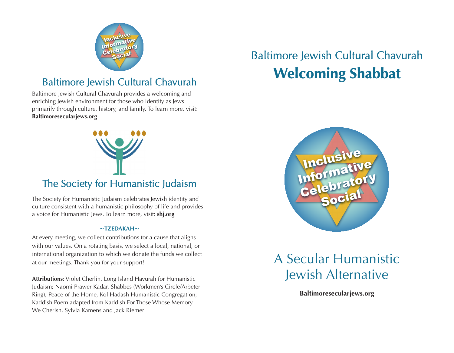

### Baltimore Jewish Cultural Chavurah

Baltimore Jewish Cultural Chavurah provides a welcoming and enriching Jewish environment for those who identify as Jews primarily through culture, history, and family. To learn more, visit: **Baltimoresecularjews.org**



The Society for Humanistic Judaism celebrates Jewish identity and culture consistent with a humanistic philosophy of life and provides a voice for Humanistic Jews. To learn more, visit: **shj.org**

#### **~TZEDAKAH~**

At every meeting, we collect contributions for a cause that aligns with our values. On a rotating basis, we select a local, national, or international organization to which we donate the funds we collect at our meetings. Thank you for your support!

**Attributions**: Violet Cherlin, Long Island Havurah for Humanistic Judaism; Naomi Prawer Kadar, Shabbes (Workmen's Circle/Arbeter Ring); Peace of the Home, Kol Hadash Humanistic Congregation; Kaddish Poem adapted from Kaddish For Those Whose Memory We Cherish, Sylvia Kamens and Jack Riemer

# Baltimore Jewish Cultural Chavurah **Welcoming Shabbat**



## A Secular Humanistic Jewish Alternative

**Baltimoresecularjews.org**